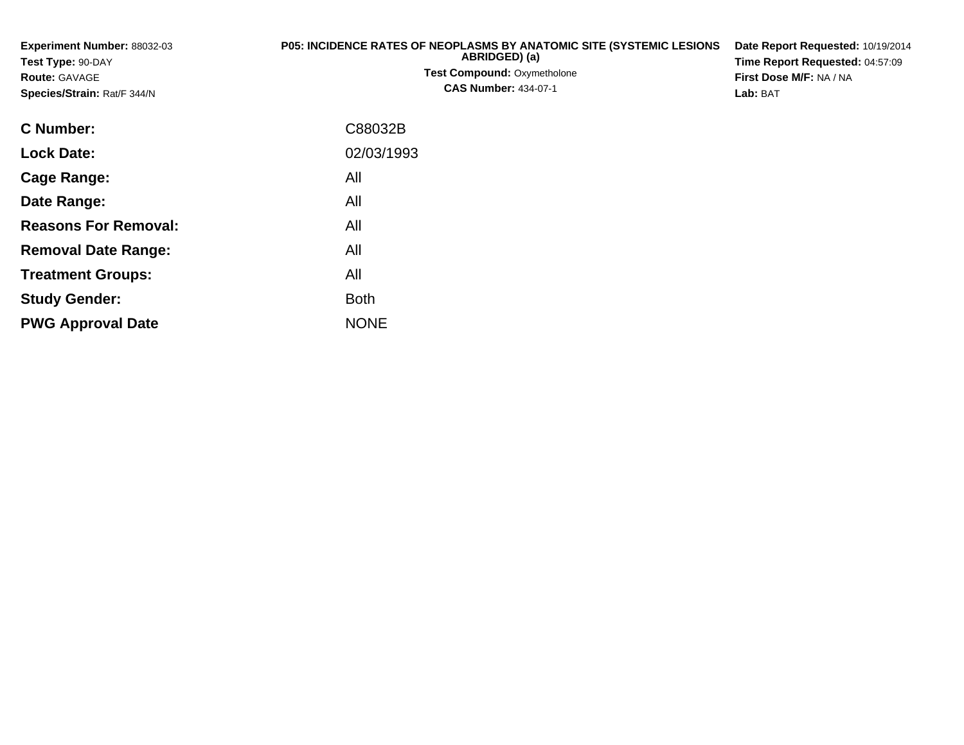**Experiment Number:** 88032-03**Test Type:** 90-DAY**Route:** GAVAGE **Species/Strain:** Rat/F 344/N**P05: INCIDENCE RATES OF NEOPLASMS BY ANATOMIC SITE (SYSTEMIC LESIONS ABRIDGED) (a) Test Compound:** Oxymetholone**CAS Number:** 434-07-1**Date Report Requested:** 10/19/2014**Time Report Requested:** 04:57:09**First Dose M/F:** NA / NA**Lab:** BAT**C Number:**C88032B

| <b>Lock Date:</b>           | 02/03/1993  |
|-----------------------------|-------------|
| Cage Range:                 | All         |
| Date Range:                 | All         |
| <b>Reasons For Removal:</b> | All         |
| <b>Removal Date Range:</b>  | All         |
| <b>Treatment Groups:</b>    | All         |
| <b>Study Gender:</b>        | <b>Both</b> |
| <b>PWG Approval Date</b>    | <b>NONE</b> |
|                             |             |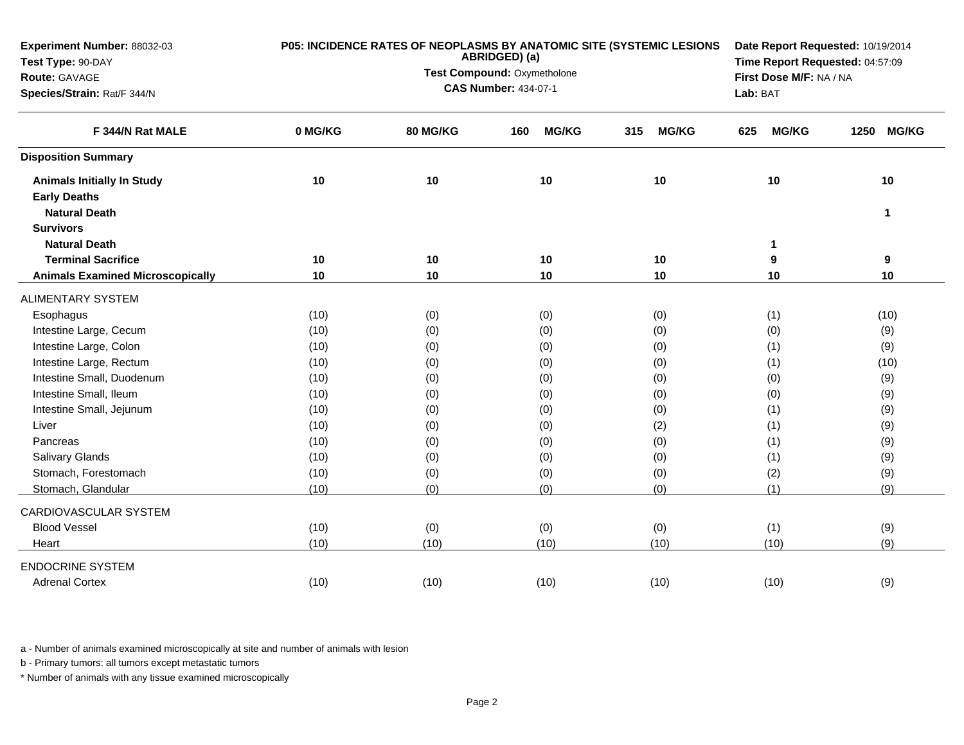| Experiment Number: 88032-03             | P05: INCIDENCE RATES OF NEOPLASMS BY ANATOMIC SITE (SYSTEMIC LESIONS<br>ABRIDGED) (a) |                                                            |                                 |                     |                     |                      |
|-----------------------------------------|---------------------------------------------------------------------------------------|------------------------------------------------------------|---------------------------------|---------------------|---------------------|----------------------|
| Test Type: 90-DAY                       |                                                                                       |                                                            | Time Report Requested: 04:57:09 |                     |                     |                      |
| Route: GAVAGE                           |                                                                                       | Test Compound: Oxymetholone<br><b>CAS Number: 434-07-1</b> | First Dose M/F: NA / NA         |                     |                     |                      |
| Species/Strain: Rat/F 344/N             |                                                                                       |                                                            |                                 | Lab: BAT            |                     |                      |
| F 344/N Rat MALE                        | 0 MG/KG                                                                               | 80 MG/KG                                                   | <b>MG/KG</b><br>160             | 315<br><b>MG/KG</b> | 625<br><b>MG/KG</b> | 1250<br><b>MG/KG</b> |
| <b>Disposition Summary</b>              |                                                                                       |                                                            |                                 |                     |                     |                      |
| <b>Animals Initially In Study</b>       | 10                                                                                    | 10                                                         | 10                              | 10                  | 10                  | 10                   |
| <b>Early Deaths</b>                     |                                                                                       |                                                            |                                 |                     |                     |                      |
| <b>Natural Death</b>                    |                                                                                       |                                                            |                                 |                     |                     | $\mathbf{1}$         |
| <b>Survivors</b>                        |                                                                                       |                                                            |                                 |                     |                     |                      |
| <b>Natural Death</b>                    |                                                                                       |                                                            |                                 |                     | 1                   |                      |
| <b>Terminal Sacrifice</b>               | 10                                                                                    | 10                                                         | 10                              | 10                  | 9                   | 9                    |
| <b>Animals Examined Microscopically</b> | 10                                                                                    | 10                                                         | 10                              | 10                  | 10                  | 10                   |
| <b>ALIMENTARY SYSTEM</b>                |                                                                                       |                                                            |                                 |                     |                     |                      |
| Esophagus                               | (10)                                                                                  | (0)                                                        | (0)                             | (0)                 | (1)                 | (10)                 |
| Intestine Large, Cecum                  | (10)                                                                                  | (0)                                                        | (0)                             | (0)                 | (0)                 | (9)                  |
| Intestine Large, Colon                  | (10)                                                                                  | (0)                                                        | (0)                             | (0)                 | (1)                 | (9)                  |
| Intestine Large, Rectum                 | (10)                                                                                  | (0)                                                        | (0)                             | (0)                 | (1)                 | (10)                 |
| Intestine Small, Duodenum               | (10)                                                                                  | (0)                                                        | (0)                             | (0)                 | (0)                 | (9)                  |
| Intestine Small, Ileum                  | (10)                                                                                  | (0)                                                        | (0)                             | (0)                 | (0)                 | (9)                  |
| Intestine Small, Jejunum                | (10)                                                                                  | (0)                                                        | (0)                             | (0)                 | (1)                 | (9)                  |
| Liver                                   | (10)                                                                                  | (0)                                                        | (0)                             | (2)                 | (1)                 | (9)                  |
| Pancreas                                | (10)                                                                                  | (0)                                                        | (0)                             | (0)                 | (1)                 | (9)                  |
| Salivary Glands                         | (10)                                                                                  | (0)                                                        | (0)                             | (0)                 | (1)                 | (9)                  |
| Stomach, Forestomach                    | (10)                                                                                  | (0)                                                        | (0)                             | (0)                 | (2)                 | (9)                  |
| Stomach, Glandular                      | (10)                                                                                  | (0)                                                        | (0)                             | (0)                 | (1)                 | (9)                  |
| CARDIOVASCULAR SYSTEM                   |                                                                                       |                                                            |                                 |                     |                     |                      |
| <b>Blood Vessel</b>                     | (10)                                                                                  | (0)                                                        | (0)                             | (0)                 | (1)                 | (9)                  |
| Heart                                   | (10)                                                                                  | (10)                                                       | (10)                            | (10)                | (10)                | (9)                  |
| <b>ENDOCRINE SYSTEM</b>                 |                                                                                       |                                                            |                                 |                     |                     |                      |
| <b>Adrenal Cortex</b>                   | (10)                                                                                  | (10)                                                       | (10)                            | (10)                | (10)                | (9)                  |

b - Primary tumors: all tumors except metastatic tumors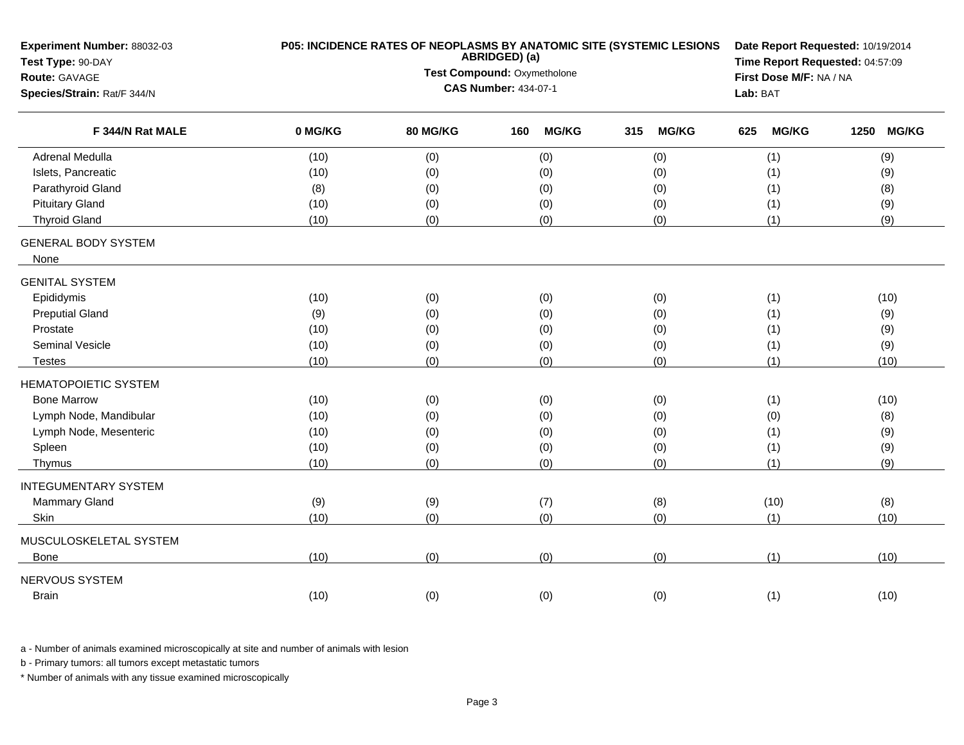| Experiment Number: 88032-03<br>Test Type: 90-DAY | P05: INCIDENCE RATES OF NEOPLASMS BY ANATOMIC SITE (SYSTEMIC LESIONS<br>ABRIDGED) (a) |                             |                             |              |     |              |          | Date Report Requested: 10/19/2014<br>Time Report Requested: 04:57:09 |                         |            |  |
|--------------------------------------------------|---------------------------------------------------------------------------------------|-----------------------------|-----------------------------|--------------|-----|--------------|----------|----------------------------------------------------------------------|-------------------------|------------|--|
| Route: GAVAGE                                    |                                                                                       | Test Compound: Oxymetholone |                             |              |     |              |          |                                                                      | First Dose M/F: NA / NA |            |  |
| Species/Strain: Rat/F 344/N                      |                                                                                       |                             | <b>CAS Number: 434-07-1</b> |              |     |              | Lab: BAT |                                                                      |                         |            |  |
| F 344/N Rat MALE                                 | 0 MG/KG                                                                               | 80 MG/KG                    | 160                         | <b>MG/KG</b> | 315 | <b>MG/KG</b> | 625      | <b>MG/KG</b>                                                         |                         | 1250 MG/KG |  |
| <b>Adrenal Medulla</b>                           | (10)                                                                                  | (0)                         |                             | (0)          |     | (0)          |          | (1)                                                                  |                         | (9)        |  |
| Islets, Pancreatic                               | (10)                                                                                  | (0)                         |                             | (0)          |     | (0)          |          | (1)                                                                  |                         | (9)        |  |
| Parathyroid Gland                                | (8)                                                                                   | (0)                         |                             | (0)          |     | (0)          |          | (1)                                                                  |                         | (8)        |  |
| <b>Pituitary Gland</b>                           | (10)                                                                                  | (0)                         |                             | (0)          |     | (0)          |          | (1)                                                                  |                         | (9)        |  |
| <b>Thyroid Gland</b>                             | (10)                                                                                  | (0)                         |                             | (0)          |     | (0)          |          | (1)                                                                  |                         | (9)        |  |
| <b>GENERAL BODY SYSTEM</b><br>None               |                                                                                       |                             |                             |              |     |              |          |                                                                      |                         |            |  |
| <b>GENITAL SYSTEM</b>                            |                                                                                       |                             |                             |              |     |              |          |                                                                      |                         |            |  |
| Epididymis                                       | (10)                                                                                  | (0)                         |                             | (0)          |     | (0)          |          | (1)                                                                  |                         | (10)       |  |
| <b>Preputial Gland</b>                           | (9)                                                                                   | (0)                         |                             | (0)          |     | (0)          |          | (1)                                                                  |                         | (9)        |  |
| Prostate                                         | (10)                                                                                  | (0)                         |                             | (0)          |     | (0)          |          | (1)                                                                  |                         | (9)        |  |
| Seminal Vesicle                                  | (10)                                                                                  | (0)                         |                             | (0)          |     | (0)          |          | (1)                                                                  |                         | (9)        |  |
| <b>Testes</b>                                    | (10)                                                                                  | (0)                         |                             | (0)          |     | (0)          |          | (1)                                                                  |                         | (10)       |  |
| <b>HEMATOPOIETIC SYSTEM</b>                      |                                                                                       |                             |                             |              |     |              |          |                                                                      |                         |            |  |
| <b>Bone Marrow</b>                               | (10)                                                                                  | (0)                         |                             | (0)          |     | (0)          |          | (1)                                                                  |                         | (10)       |  |
| Lymph Node, Mandibular                           | (10)                                                                                  | (0)                         |                             | (0)          |     | (0)          |          | (0)                                                                  |                         | (8)        |  |
| Lymph Node, Mesenteric                           | (10)                                                                                  | (0)                         |                             | (0)          |     | (0)          |          | (1)                                                                  |                         | (9)        |  |
| Spleen                                           | (10)                                                                                  | (0)                         |                             | (0)          |     | (0)          |          | (1)                                                                  |                         | (9)        |  |
| Thymus                                           | (10)                                                                                  | (0)                         |                             | (0)          |     | (0)          |          | (1)                                                                  |                         | (9)        |  |
| <b>INTEGUMENTARY SYSTEM</b>                      |                                                                                       |                             |                             |              |     |              |          |                                                                      |                         |            |  |
| Mammary Gland                                    | (9)                                                                                   | (9)                         |                             | (7)          |     | (8)          |          | (10)                                                                 |                         | (8)        |  |
| Skin                                             | (10)                                                                                  | (0)                         |                             | (0)          |     | (0)          |          | (1)                                                                  |                         | (10)       |  |
| MUSCULOSKELETAL SYSTEM                           |                                                                                       |                             |                             |              |     |              |          |                                                                      |                         |            |  |
| Bone                                             | (10)                                                                                  | (0)                         |                             | (0)          |     | (0)          |          | (1)                                                                  |                         | (10)       |  |
| NERVOUS SYSTEM                                   |                                                                                       |                             |                             |              |     |              |          |                                                                      |                         |            |  |
| <b>Brain</b>                                     | (10)                                                                                  | (0)                         |                             | (0)          |     | (0)          |          | (1)                                                                  |                         | (10)       |  |
|                                                  |                                                                                       |                             |                             |              |     |              |          |                                                                      |                         |            |  |

b - Primary tumors: all tumors except metastatic tumors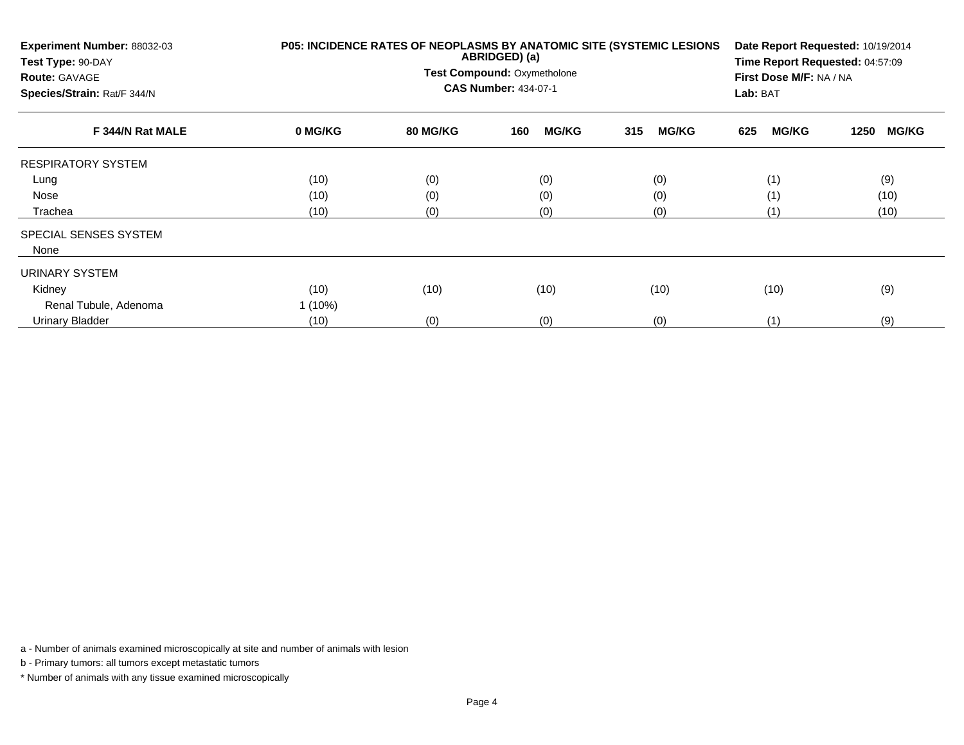| Experiment Number: 88032-03<br>Test Type: 90-DAY<br><b>Route: GAVAGE</b><br>Species/Strain: Rat/F 344/N | P05: INCIDENCE RATES OF NEOPLASMS BY ANATOMIC SITE (SYSTEMIC LESIONS | Date Report Requested: 10/19/2014<br>Time Report Requested: 04:57:09<br>First Dose M/F: NA / NA<br>Lab: BAT |                     |                     |                     |                      |
|---------------------------------------------------------------------------------------------------------|----------------------------------------------------------------------|-------------------------------------------------------------------------------------------------------------|---------------------|---------------------|---------------------|----------------------|
| F 344/N Rat MALE                                                                                        | 0 MG/KG                                                              | <b>80 MG/KG</b>                                                                                             | <b>MG/KG</b><br>160 | 315<br><b>MG/KG</b> | <b>MG/KG</b><br>625 | <b>MG/KG</b><br>1250 |
| <b>RESPIRATORY SYSTEM</b>                                                                               |                                                                      |                                                                                                             |                     |                     |                     |                      |
| Lung                                                                                                    | (10)                                                                 | (0)                                                                                                         | (0)                 | (0)                 | (1)                 | (9)                  |
| Nose                                                                                                    | (10)                                                                 | (0)                                                                                                         | (0)                 | (0)                 | (1)                 | (10)                 |
| Trachea                                                                                                 | (10)                                                                 | (0)                                                                                                         | (0)                 | (0)                 | (1)                 | (10)                 |
| SPECIAL SENSES SYSTEM<br>None                                                                           |                                                                      |                                                                                                             |                     |                     |                     |                      |
| URINARY SYSTEM                                                                                          |                                                                      |                                                                                                             |                     |                     |                     |                      |
| Kidney                                                                                                  | (10)                                                                 | (10)                                                                                                        | (10)                | (10)                | (10)                | (9)                  |
| Renal Tubule, Adenoma                                                                                   | $1(10\%)$                                                            |                                                                                                             |                     |                     |                     |                      |
| Urinary Bladder                                                                                         | (10)                                                                 | (0)                                                                                                         | (0)                 | (0)                 | (1)                 | (9)                  |

b - Primary tumors: all tumors except metastatic tumors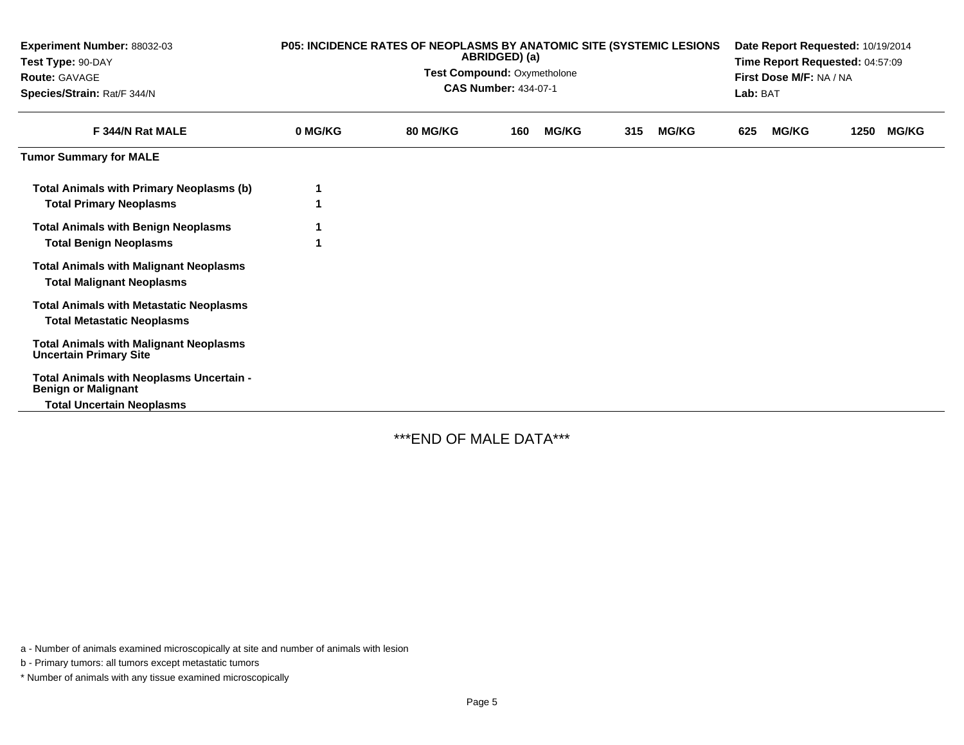| Experiment Number: 88032-03<br>Test Type: 90-DAY<br><b>Route: GAVAGE</b><br>Species/Strain: Rat/F 344/N    | P05: INCIDENCE RATES OF NEOPLASMS BY ANATOMIC SITE (SYSTEMIC LESIONS<br>ABRIDGED) (a)<br>Test Compound: Oxymetholone<br><b>CAS Number: 434-07-1</b> |                 |     |              |     |              | Date Report Requested: 10/19/2014<br>Time Report Requested: 04:57:09<br>First Dose M/F: NA / NA<br>Lab: BAT |              |      |              |
|------------------------------------------------------------------------------------------------------------|-----------------------------------------------------------------------------------------------------------------------------------------------------|-----------------|-----|--------------|-----|--------------|-------------------------------------------------------------------------------------------------------------|--------------|------|--------------|
| F 344/N Rat MALE                                                                                           | 0 MG/KG                                                                                                                                             | <b>80 MG/KG</b> | 160 | <b>MG/KG</b> | 315 | <b>MG/KG</b> | 625                                                                                                         | <b>MG/KG</b> | 1250 | <b>MG/KG</b> |
| <b>Tumor Summary for MALE</b>                                                                              |                                                                                                                                                     |                 |     |              |     |              |                                                                                                             |              |      |              |
| <b>Total Animals with Primary Neoplasms (b)</b><br><b>Total Primary Neoplasms</b>                          |                                                                                                                                                     |                 |     |              |     |              |                                                                                                             |              |      |              |
| <b>Total Animals with Benign Neoplasms</b><br><b>Total Benign Neoplasms</b>                                |                                                                                                                                                     |                 |     |              |     |              |                                                                                                             |              |      |              |
| <b>Total Animals with Malignant Neoplasms</b><br><b>Total Malignant Neoplasms</b>                          |                                                                                                                                                     |                 |     |              |     |              |                                                                                                             |              |      |              |
| <b>Total Animals with Metastatic Neoplasms</b><br><b>Total Metastatic Neoplasms</b>                        |                                                                                                                                                     |                 |     |              |     |              |                                                                                                             |              |      |              |
| <b>Total Animals with Malignant Neoplasms</b><br><b>Uncertain Primary Site</b>                             |                                                                                                                                                     |                 |     |              |     |              |                                                                                                             |              |      |              |
| Total Animals with Neoplasms Uncertain -<br><b>Benign or Malignant</b><br><b>Total Uncertain Neoplasms</b> |                                                                                                                                                     |                 |     |              |     |              |                                                                                                             |              |      |              |

\*\*\*END OF MALE DATA\*\*\*

a - Number of animals examined microscopically at site and number of animals with lesion

b - Primary tumors: all tumors except metastatic tumors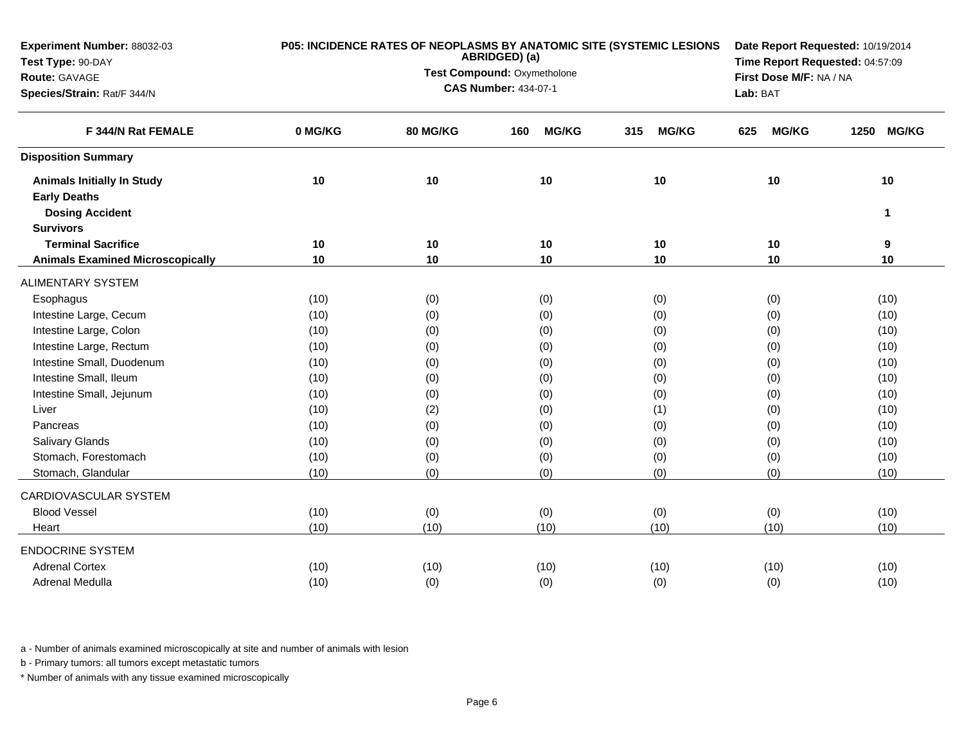| Experiment Number: 88032-03             |         | P05: INCIDENCE RATES OF NEOPLASMS BY ANATOMIC SITE (SYSTEMIC LESIONS | Date Report Requested: 10/19/2014 |                     |                         |                      |
|-----------------------------------------|---------|----------------------------------------------------------------------|-----------------------------------|---------------------|-------------------------|----------------------|
| Test Type: 90-DAY                       |         | ABRIDGED) (a)                                                        | Time Report Requested: 04:57:09   |                     |                         |                      |
| Route: GAVAGE                           |         |                                                                      | Test Compound: Oxymetholone       |                     | First Dose M/F: NA / NA |                      |
| Species/Strain: Rat/F 344/N             |         |                                                                      | <b>CAS Number: 434-07-1</b>       |                     | Lab: BAT                |                      |
| F 344/N Rat FEMALE                      | 0 MG/KG | 80 MG/KG                                                             | <b>MG/KG</b><br>160               | <b>MG/KG</b><br>315 | <b>MG/KG</b><br>625     | <b>MG/KG</b><br>1250 |
| <b>Disposition Summary</b>              |         |                                                                      |                                   |                     |                         |                      |
| <b>Animals Initially In Study</b>       | 10      | 10                                                                   | 10                                | 10                  | 10                      | 10                   |
| <b>Early Deaths</b>                     |         |                                                                      |                                   |                     |                         |                      |
| <b>Dosing Accident</b>                  |         |                                                                      |                                   |                     |                         | 1                    |
| <b>Survivors</b>                        |         |                                                                      |                                   |                     |                         |                      |
| <b>Terminal Sacrifice</b>               | 10      | 10                                                                   | 10                                | 10                  | 10                      | 9                    |
| <b>Animals Examined Microscopically</b> | 10      | 10                                                                   | 10                                | 10                  | 10                      | 10                   |
| <b>ALIMENTARY SYSTEM</b>                |         |                                                                      |                                   |                     |                         |                      |
| Esophagus                               | (10)    | (0)                                                                  | (0)                               | (0)                 | (0)                     | (10)                 |
| Intestine Large, Cecum                  | (10)    | (0)                                                                  | (0)                               | (0)                 | (0)                     | (10)                 |
| Intestine Large, Colon                  | (10)    | (0)                                                                  | (0)                               | (0)                 | (0)                     | (10)                 |
| Intestine Large, Rectum                 | (10)    | (0)                                                                  | (0)                               | (0)                 | (0)                     | (10)                 |
| Intestine Small, Duodenum               | (10)    | (0)                                                                  | (0)                               | (0)                 | (0)                     | (10)                 |
| Intestine Small, Ileum                  | (10)    | (0)                                                                  | (0)                               | (0)                 | (0)                     | (10)                 |
| Intestine Small, Jejunum                | (10)    | (0)                                                                  | (0)                               | (0)                 | (0)                     | (10)                 |
| Liver                                   | (10)    | (2)                                                                  | (0)                               | (1)                 | (0)                     | (10)                 |
| Pancreas                                | (10)    | (0)                                                                  | (0)                               | (0)                 | (0)                     | (10)                 |
| <b>Salivary Glands</b>                  | (10)    | (0)                                                                  | (0)                               | (0)                 | (0)                     | (10)                 |
| Stomach, Forestomach                    | (10)    | (0)                                                                  | (0)                               | (0)                 | (0)                     | (10)                 |
| Stomach, Glandular                      | (10)    | (0)                                                                  | (0)                               | (0)                 | (0)                     | (10)                 |
| CARDIOVASCULAR SYSTEM                   |         |                                                                      |                                   |                     |                         |                      |
| <b>Blood Vessel</b>                     | (10)    | (0)                                                                  | (0)                               | (0)                 | (0)                     | (10)                 |
| Heart                                   | (10)    | (10)                                                                 | (10)                              | (10)                | (10)                    | (10)                 |
| <b>ENDOCRINE SYSTEM</b>                 |         |                                                                      |                                   |                     |                         |                      |
| <b>Adrenal Cortex</b>                   | (10)    | (10)                                                                 | (10)                              | (10)                | (10)                    | (10)                 |
| Adrenal Medulla                         | (10)    | (0)                                                                  | (0)                               | (0)                 | (0)                     | (10)                 |

b - Primary tumors: all tumors except metastatic tumors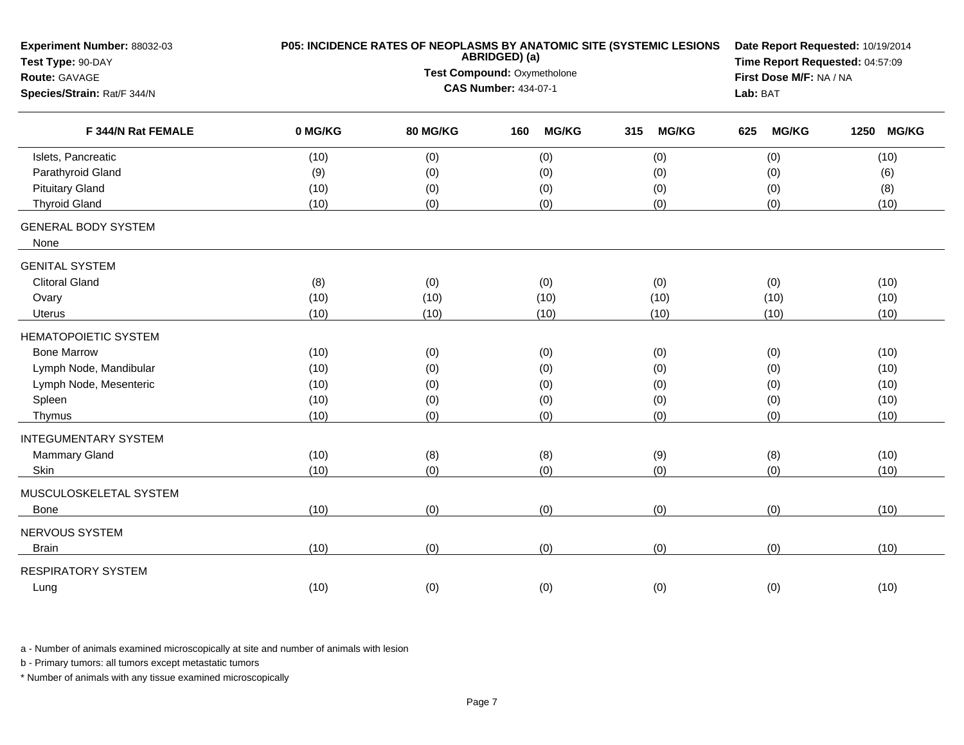| Experiment Number: 88032-03<br>Test Type: 90-DAY | P05: INCIDENCE RATES OF NEOPLASMS BY ANATOMIC SITE (SYSTEMIC LESIONS | Date Report Requested: 10/19/2014<br>Time Report Requested: 04:57:09 |                             |                     |                     |                      |
|--------------------------------------------------|----------------------------------------------------------------------|----------------------------------------------------------------------|-----------------------------|---------------------|---------------------|----------------------|
| Route: GAVAGE                                    |                                                                      | Test Compound: Oxymetholone                                          | First Dose M/F: NA / NA     |                     |                     |                      |
| Species/Strain: Rat/F 344/N                      |                                                                      |                                                                      | <b>CAS Number: 434-07-1</b> |                     | Lab: BAT            |                      |
| F 344/N Rat FEMALE                               | 0 MG/KG                                                              | 80 MG/KG                                                             | <b>MG/KG</b><br>160         | <b>MG/KG</b><br>315 | <b>MG/KG</b><br>625 | <b>MG/KG</b><br>1250 |
| Islets, Pancreatic                               | (10)                                                                 | (0)                                                                  | (0)                         | (0)                 | (0)                 | (10)                 |
| Parathyroid Gland                                | (9)                                                                  | (0)                                                                  | (0)                         | (0)                 | (0)                 | (6)                  |
| <b>Pituitary Gland</b>                           | (10)                                                                 | (0)                                                                  | (0)                         | (0)                 | (0)                 | (8)                  |
| <b>Thyroid Gland</b>                             | (10)                                                                 | (0)                                                                  | (0)                         | (0)                 | (0)                 | (10)                 |
| <b>GENERAL BODY SYSTEM</b><br>None               |                                                                      |                                                                      |                             |                     |                     |                      |
| <b>GENITAL SYSTEM</b>                            |                                                                      |                                                                      |                             |                     |                     |                      |
| <b>Clitoral Gland</b>                            | (8)                                                                  | (0)                                                                  | (0)                         | (0)                 | (0)                 | (10)                 |
| Ovary                                            | (10)                                                                 | (10)                                                                 | (10)                        | (10)                | (10)                | (10)                 |
| Uterus                                           | (10)                                                                 | (10)                                                                 | (10)                        | (10)                | (10)                | (10)                 |
| <b>HEMATOPOIETIC SYSTEM</b>                      |                                                                      |                                                                      |                             |                     |                     |                      |
| <b>Bone Marrow</b>                               | (10)                                                                 | (0)                                                                  | (0)                         | (0)                 | (0)                 | (10)                 |
| Lymph Node, Mandibular                           | (10)                                                                 | (0)                                                                  | (0)                         | (0)                 | (0)                 | (10)                 |
| Lymph Node, Mesenteric                           | (10)                                                                 | (0)                                                                  | (0)                         | (0)                 | (0)                 | (10)                 |
| Spleen                                           | (10)                                                                 | (0)                                                                  | (0)                         | (0)                 | (0)                 | (10)                 |
| Thymus                                           | (10)                                                                 | (0)                                                                  | (0)                         | (0)                 | (0)                 | (10)                 |
| <b>INTEGUMENTARY SYSTEM</b>                      |                                                                      |                                                                      |                             |                     |                     |                      |
| Mammary Gland                                    | (10)                                                                 | (8)                                                                  | (8)                         | (9)                 | (8)                 | (10)                 |
| Skin                                             | (10)                                                                 | (0)                                                                  | (0)                         | (0)                 | (0)                 | (10)                 |
| MUSCULOSKELETAL SYSTEM                           |                                                                      |                                                                      |                             |                     |                     |                      |
| Bone                                             | (10)                                                                 | (0)                                                                  | (0)                         | (0)                 | (0)                 | (10)                 |
| NERVOUS SYSTEM                                   |                                                                      |                                                                      |                             |                     |                     |                      |
| <b>Brain</b>                                     | (10)                                                                 | (0)                                                                  | (0)                         | (0)                 | (0)                 | (10)                 |
| <b>RESPIRATORY SYSTEM</b>                        |                                                                      |                                                                      |                             |                     |                     |                      |
| Lung                                             | (10)                                                                 | (0)                                                                  | (0)                         | (0)                 | (0)                 | (10)                 |
|                                                  |                                                                      |                                                                      |                             |                     |                     |                      |

b - Primary tumors: all tumors except metastatic tumors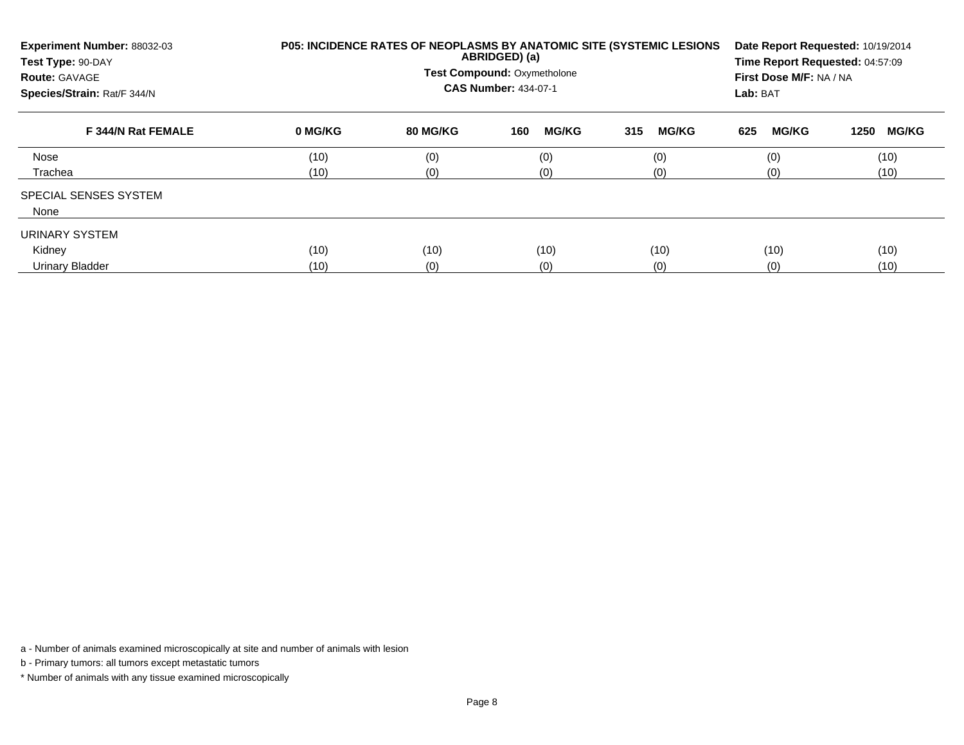| Experiment Number: 88032-03<br>Test Type: 90-DAY<br><b>Route: GAVAGE</b><br>Species/Strain: Rat/F 344/N | P05: INCIDENCE RATES OF NEOPLASMS BY ANATOMIC SITE (SYSTEMIC LESIONS | Date Report Requested: 10/19/2014<br>Time Report Requested: 04:57:09<br>First Dose M/F: NA / NA<br>Lab: BAT |                     |                     |                     |                      |
|---------------------------------------------------------------------------------------------------------|----------------------------------------------------------------------|-------------------------------------------------------------------------------------------------------------|---------------------|---------------------|---------------------|----------------------|
| F 344/N Rat FEMALE                                                                                      | 0 MG/KG                                                              | 80 MG/KG                                                                                                    | <b>MG/KG</b><br>160 | <b>MG/KG</b><br>315 | <b>MG/KG</b><br>625 | <b>MG/KG</b><br>1250 |
| Nose                                                                                                    | (10)                                                                 | (0)                                                                                                         | (0)                 | (0)                 | (0)                 | (10)                 |
| Trachea                                                                                                 | (10)                                                                 | (0)                                                                                                         | (0)                 | (0)                 | (0)                 | (10)                 |
| <b>SPECIAL SENSES SYSTEM</b><br>None                                                                    |                                                                      |                                                                                                             |                     |                     |                     |                      |
| URINARY SYSTEM                                                                                          |                                                                      |                                                                                                             |                     |                     |                     |                      |
| Kidney                                                                                                  | (10)                                                                 | (10)                                                                                                        | (10)                | (10)                | (10)                | (10)                 |
| Urinary Bladder                                                                                         | (10)                                                                 | (0)                                                                                                         | (0)                 | (0)                 | (0)                 | (10)                 |

b - Primary tumors: all tumors except metastatic tumors